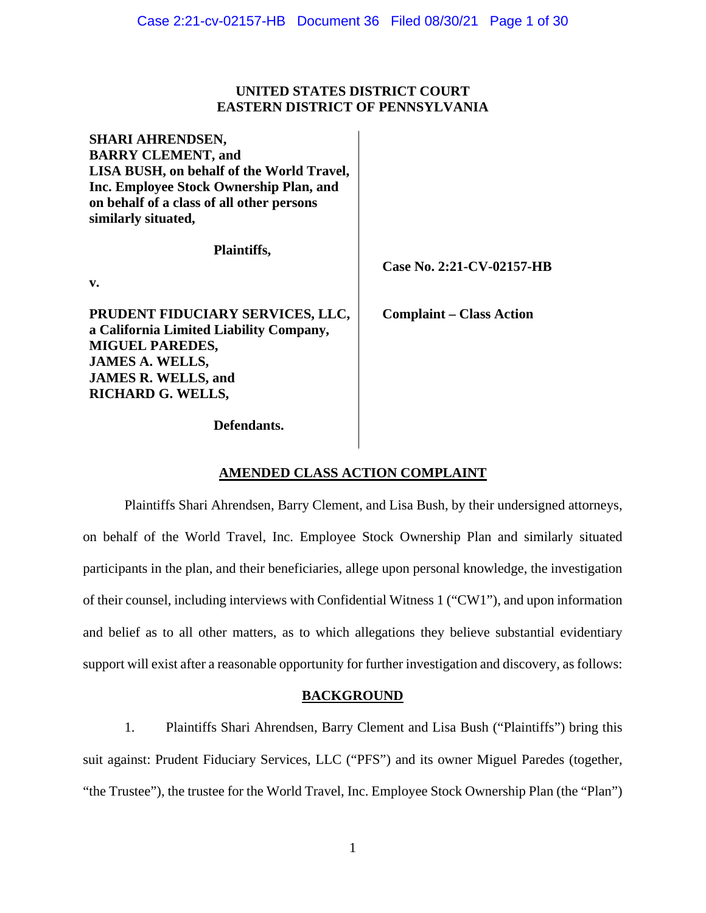## **UNITED STATES DISTRICT COURT EASTERN DISTRICT OF PENNSYLVANIA**

| <b>SHARI AHRENDSEN,</b><br><b>BARRY CLEMENT, and</b><br>LISA BUSH, on behalf of the World Travel,<br>Inc. Employee Stock Ownership Plan, and<br>on behalf of a class of all other persons<br>similarly situated, |                                 |
|------------------------------------------------------------------------------------------------------------------------------------------------------------------------------------------------------------------|---------------------------------|
| <b>Plaintiffs,</b><br>$\mathbf{v}$ .                                                                                                                                                                             | Case No. 2:21-CV-02157-HB       |
| PRUDENT FIDUCIARY SERVICES, LLC,<br>a California Limited Liability Company,<br><b>MIGUEL PAREDES,</b><br><b>JAMES A. WELLS,</b><br><b>JAMES R. WELLS, and</b><br><b>RICHARD G. WELLS,</b>                        | <b>Complaint – Class Action</b> |
| <b>Defendants.</b>                                                                                                                                                                                               |                                 |

# **AMENDED CLASS ACTION COMPLAINT**

Plaintiffs Shari Ahrendsen, Barry Clement, and Lisa Bush, by their undersigned attorneys, on behalf of the World Travel, Inc. Employee Stock Ownership Plan and similarly situated participants in the plan, and their beneficiaries, allege upon personal knowledge, the investigation of their counsel, including interviews with Confidential Witness 1 ("CW1"), and upon information and belief as to all other matters, as to which allegations they believe substantial evidentiary support will exist after a reasonable opportunity for further investigation and discovery, as follows:

## **BACKGROUND**

1. Plaintiffs Shari Ahrendsen, Barry Clement and Lisa Bush ("Plaintiffs") bring this suit against: Prudent Fiduciary Services, LLC ("PFS") and its owner Miguel Paredes (together, "the Trustee"), the trustee for the World Travel, Inc. Employee Stock Ownership Plan (the "Plan")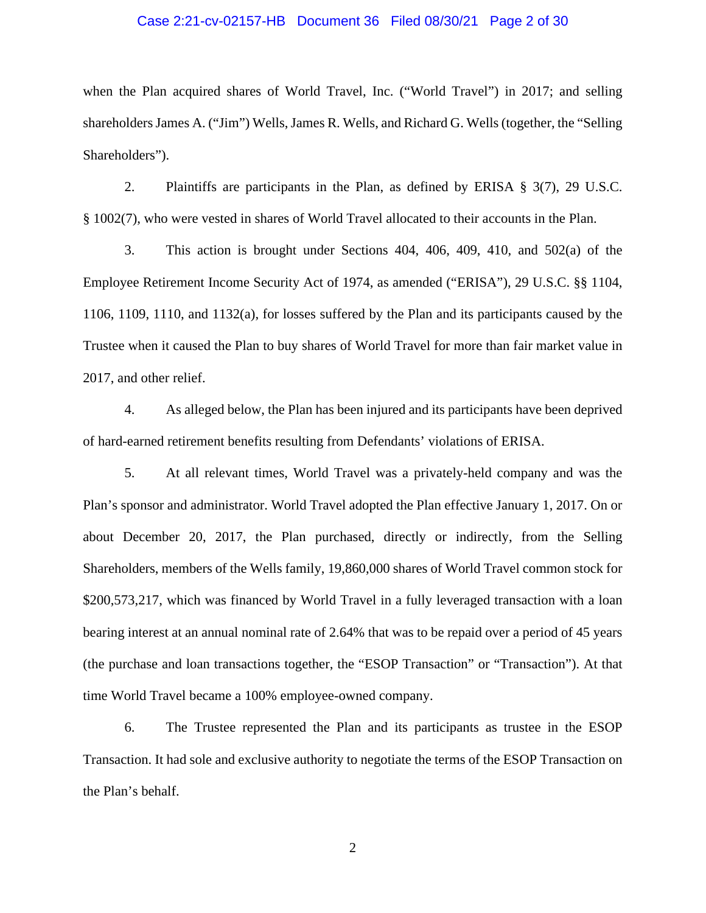### Case 2:21-cv-02157-HB Document 36 Filed 08/30/21 Page 2 of 30

when the Plan acquired shares of World Travel, Inc. ("World Travel") in 2017; and selling shareholdersJames A. ("Jim") Wells, James R. Wells, and Richard G. Wells (together, the "Selling Shareholders").

2. Plaintiffs are participants in the Plan, as defined by ERISA § 3(7), 29 U.S.C. § 1002(7), who were vested in shares of World Travel allocated to their accounts in the Plan.

3. This action is brought under Sections 404, 406, 409, 410, and 502(a) of the Employee Retirement Income Security Act of 1974, as amended ("ERISA"), 29 U.S.C. §§ 1104, 1106, 1109, 1110, and 1132(a), for losses suffered by the Plan and its participants caused by the Trustee when it caused the Plan to buy shares of World Travel for more than fair market value in 2017, and other relief.

4. As alleged below, the Plan has been injured and its participants have been deprived of hard-earned retirement benefits resulting from Defendants' violations of ERISA.

5. At all relevant times, World Travel was a privately-held company and was the Plan's sponsor and administrator. World Travel adopted the Plan effective January 1, 2017. On or about December 20, 2017, the Plan purchased, directly or indirectly, from the Selling Shareholders, members of the Wells family, 19,860,000 shares of World Travel common stock for \$200,573,217, which was financed by World Travel in a fully leveraged transaction with a loan bearing interest at an annual nominal rate of 2.64% that was to be repaid over a period of 45 years (the purchase and loan transactions together, the "ESOP Transaction" or "Transaction"). At that time World Travel became a 100% employee-owned company.

6. The Trustee represented the Plan and its participants as trustee in the ESOP Transaction. It had sole and exclusive authority to negotiate the terms of the ESOP Transaction on the Plan's behalf.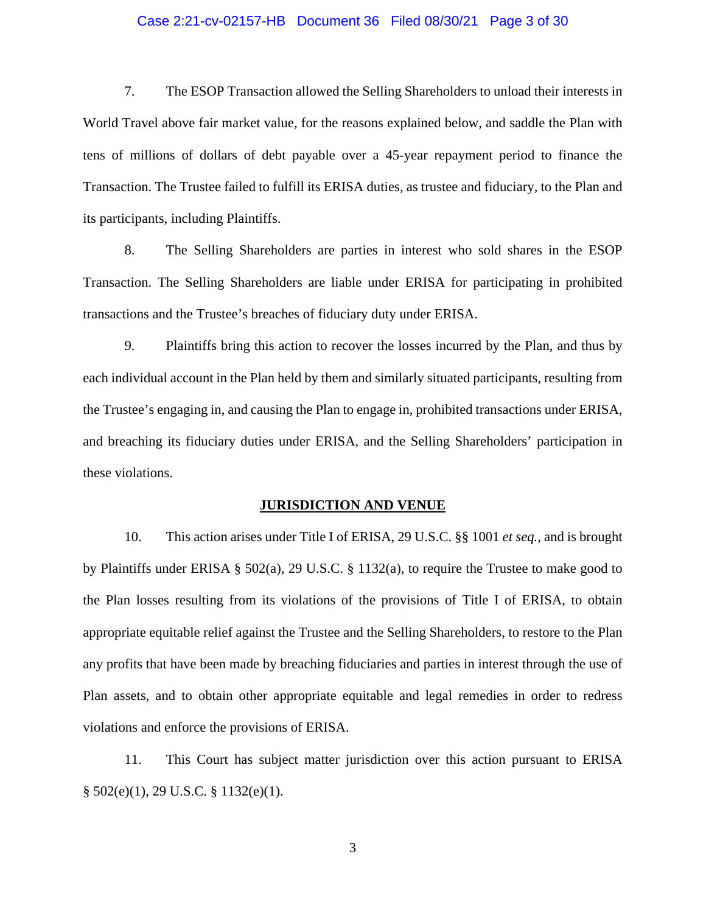### Case 2:21-cv-02157-HB Document 36 Filed 08/30/21 Page 3 of 30

7. The ESOP Transaction allowed the Selling Shareholders to unload their interests in World Travel above fair market value, for the reasons explained below, and saddle the Plan with tens of millions of dollars of debt payable over a 45-year repayment period to finance the Transaction. The Trustee failed to fulfill its ERISA duties, as trustee and fiduciary, to the Plan and its participants, including Plaintiffs.

8. The Selling Shareholders are parties in interest who sold shares in the ESOP Transaction. The Selling Shareholders are liable under ERISA for participating in prohibited transactions and the Trustee's breaches of fiduciary duty under ERISA.

9. Plaintiffs bring this action to recover the losses incurred by the Plan, and thus by each individual account in the Plan held by them and similarly situated participants, resulting from the Trustee's engaging in, and causing the Plan to engage in, prohibited transactions under ERISA, and breaching its fiduciary duties under ERISA, and the Selling Shareholders' participation in these violations.

#### **JURISDICTION AND VENUE**

10. This action arises under Title I of ERISA, 29 U.S.C. §§ 1001 *et seq.*, and is brought by Plaintiffs under ERISA § 502(a), 29 U.S.C. § 1132(a), to require the Trustee to make good to the Plan losses resulting from its violations of the provisions of Title I of ERISA, to obtain appropriate equitable relief against the Trustee and the Selling Shareholders, to restore to the Plan any profits that have been made by breaching fiduciaries and parties in interest through the use of Plan assets, and to obtain other appropriate equitable and legal remedies in order to redress violations and enforce the provisions of ERISA.

11. This Court has subject matter jurisdiction over this action pursuant to ERISA § 502(e)(1), 29 U.S.C. § 1132(e)(1).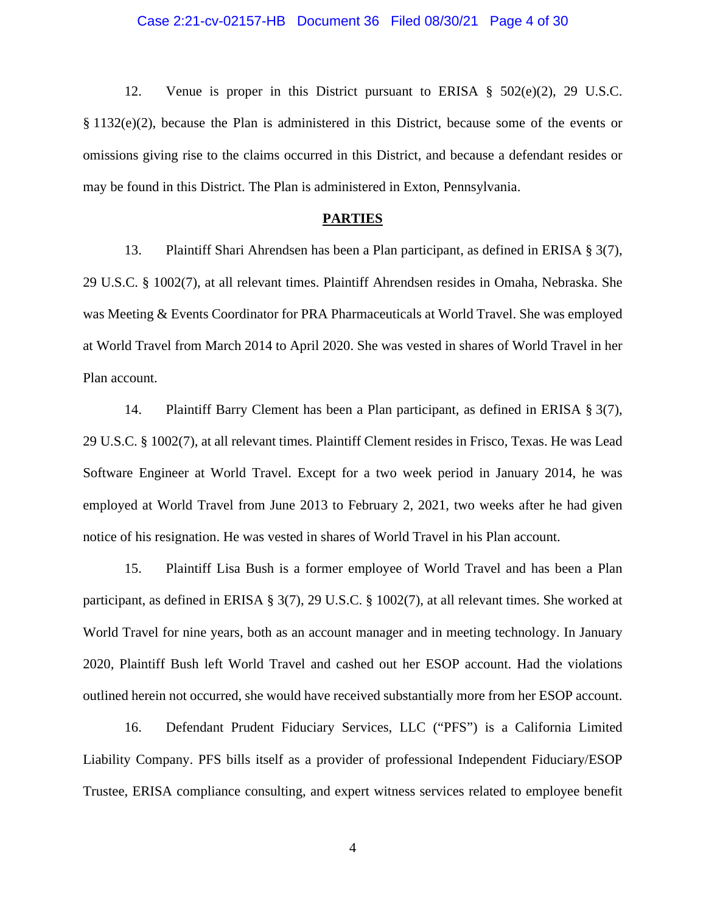### Case 2:21-cv-02157-HB Document 36 Filed 08/30/21 Page 4 of 30

12. Venue is proper in this District pursuant to ERISA § 502(e)(2), 29 U.S.C. § 1132(e)(2), because the Plan is administered in this District, because some of the events or omissions giving rise to the claims occurred in this District, and because a defendant resides or may be found in this District. The Plan is administered in Exton, Pennsylvania.

## **PARTIES**

13. Plaintiff Shari Ahrendsen has been a Plan participant, as defined in ERISA § 3(7), 29 U.S.C. § 1002(7), at all relevant times. Plaintiff Ahrendsen resides in Omaha, Nebraska. She was Meeting & Events Coordinator for PRA Pharmaceuticals at World Travel. She was employed at World Travel from March 2014 to April 2020. She was vested in shares of World Travel in her Plan account.

14. Plaintiff Barry Clement has been a Plan participant, as defined in ERISA § 3(7), 29 U.S.C. § 1002(7), at all relevant times. Plaintiff Clement resides in Frisco, Texas. He was Lead Software Engineer at World Travel. Except for a two week period in January 2014, he was employed at World Travel from June 2013 to February 2, 2021, two weeks after he had given notice of his resignation. He was vested in shares of World Travel in his Plan account.

15. Plaintiff Lisa Bush is a former employee of World Travel and has been a Plan participant, as defined in ERISA § 3(7), 29 U.S.C. § 1002(7), at all relevant times. She worked at World Travel for nine years, both as an account manager and in meeting technology. In January 2020, Plaintiff Bush left World Travel and cashed out her ESOP account. Had the violations outlined herein not occurred, she would have received substantially more from her ESOP account.

16. Defendant Prudent Fiduciary Services, LLC ("PFS") is a California Limited Liability Company. PFS bills itself as a provider of professional Independent Fiduciary/ESOP Trustee, ERISA compliance consulting, and expert witness services related to employee benefit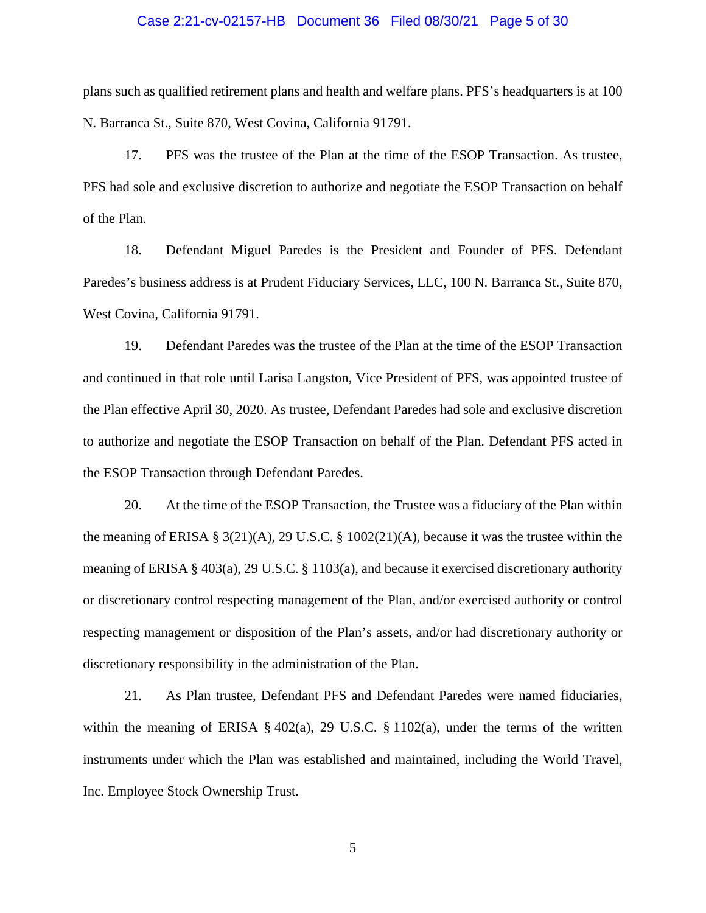#### Case 2:21-cv-02157-HB Document 36 Filed 08/30/21 Page 5 of 30

plans such as qualified retirement plans and health and welfare plans. PFS's headquarters is at 100 N. Barranca St., Suite 870, West Covina, California 91791.

17. PFS was the trustee of the Plan at the time of the ESOP Transaction. As trustee, PFS had sole and exclusive discretion to authorize and negotiate the ESOP Transaction on behalf of the Plan.

18. Defendant Miguel Paredes is the President and Founder of PFS. Defendant Paredes's business address is at Prudent Fiduciary Services, LLC, 100 N. Barranca St., Suite 870, West Covina, California 91791.

19. Defendant Paredes was the trustee of the Plan at the time of the ESOP Transaction and continued in that role until Larisa Langston, Vice President of PFS, was appointed trustee of the Plan effective April 30, 2020. As trustee, Defendant Paredes had sole and exclusive discretion to authorize and negotiate the ESOP Transaction on behalf of the Plan. Defendant PFS acted in the ESOP Transaction through Defendant Paredes.

20. At the time of the ESOP Transaction, the Trustee was a fiduciary of the Plan within the meaning of ERISA § 3(21)(A), 29 U.S.C. § 1002(21)(A), because it was the trustee within the meaning of ERISA § 403(a), 29 U.S.C. § 1103(a), and because it exercised discretionary authority or discretionary control respecting management of the Plan, and/or exercised authority or control respecting management or disposition of the Plan's assets, and/or had discretionary authority or discretionary responsibility in the administration of the Plan.

21. As Plan trustee, Defendant PFS and Defendant Paredes were named fiduciaries, within the meaning of ERISA  $\S 402(a)$ , 29 U.S.C.  $\S 1102(a)$ , under the terms of the written instruments under which the Plan was established and maintained, including the World Travel, Inc. Employee Stock Ownership Trust.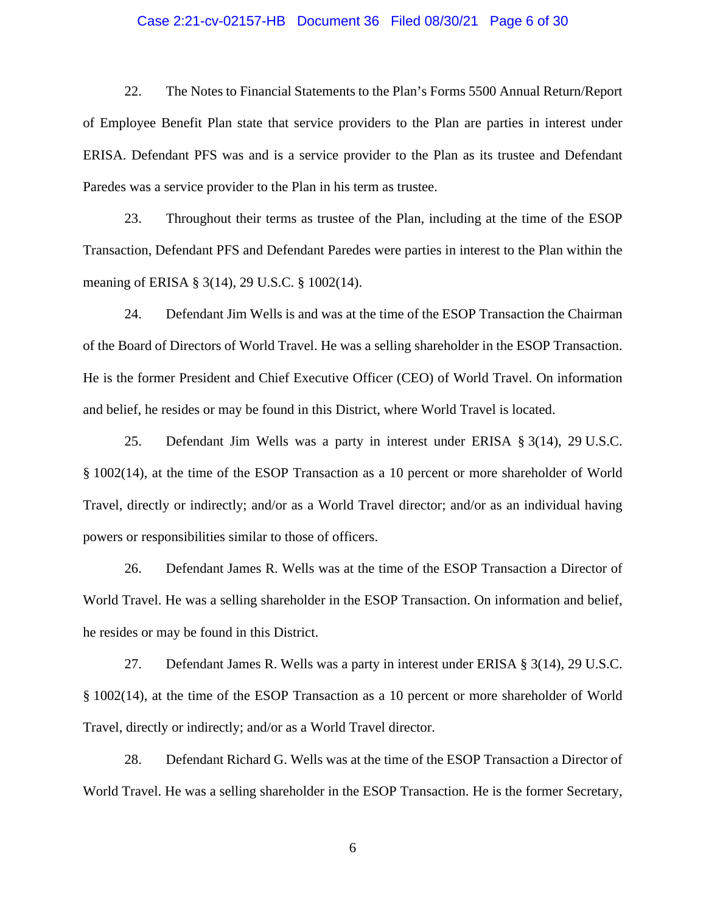### Case 2:21-cv-02157-HB Document 36 Filed 08/30/21 Page 6 of 30

22. The Notes to Financial Statements to the Plan's Forms 5500 Annual Return/Report of Employee Benefit Plan state that service providers to the Plan are parties in interest under ERISA. Defendant PFS was and is a service provider to the Plan as its trustee and Defendant Paredes was a service provider to the Plan in his term as trustee.

23. Throughout their terms as trustee of the Plan, including at the time of the ESOP Transaction, Defendant PFS and Defendant Paredes were parties in interest to the Plan within the meaning of ERISA § 3(14), 29 U.S.C. § 1002(14).

24. Defendant Jim Wells is and was at the time of the ESOP Transaction the Chairman of the Board of Directors of World Travel. He was a selling shareholder in the ESOP Transaction. He is the former President and Chief Executive Officer (CEO) of World Travel. On information and belief, he resides or may be found in this District, where World Travel is located.

25. Defendant Jim Wells was a party in interest under ERISA § 3(14), 29 U.S.C. § 1002(14), at the time of the ESOP Transaction as a 10 percent or more shareholder of World Travel, directly or indirectly; and/or as a World Travel director; and/or as an individual having powers or responsibilities similar to those of officers.

26. Defendant James R. Wells was at the time of the ESOP Transaction a Director of World Travel. He was a selling shareholder in the ESOP Transaction. On information and belief, he resides or may be found in this District.

27. Defendant James R. Wells was a party in interest under ERISA § 3(14), 29 U.S.C. § 1002(14), at the time of the ESOP Transaction as a 10 percent or more shareholder of World Travel, directly or indirectly; and/or as a World Travel director.

28. Defendant Richard G. Wells was at the time of the ESOP Transaction a Director of World Travel. He was a selling shareholder in the ESOP Transaction. He is the former Secretary,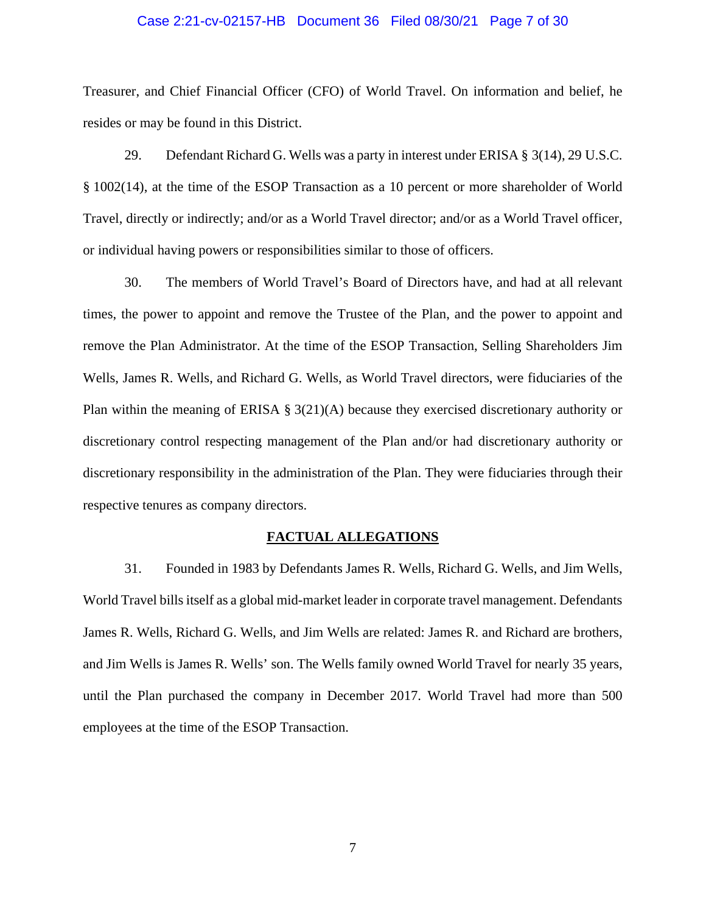#### Case 2:21-cv-02157-HB Document 36 Filed 08/30/21 Page 7 of 30

Treasurer, and Chief Financial Officer (CFO) of World Travel. On information and belief, he resides or may be found in this District.

29. Defendant Richard G. Wells was a party in interest under ERISA § 3(14), 29 U.S.C. § 1002(14), at the time of the ESOP Transaction as a 10 percent or more shareholder of World Travel, directly or indirectly; and/or as a World Travel director; and/or as a World Travel officer, or individual having powers or responsibilities similar to those of officers.

30. The members of World Travel's Board of Directors have, and had at all relevant times, the power to appoint and remove the Trustee of the Plan, and the power to appoint and remove the Plan Administrator. At the time of the ESOP Transaction, Selling Shareholders Jim Wells, James R. Wells, and Richard G. Wells, as World Travel directors, were fiduciaries of the Plan within the meaning of ERISA § 3(21)(A) because they exercised discretionary authority or discretionary control respecting management of the Plan and/or had discretionary authority or discretionary responsibility in the administration of the Plan. They were fiduciaries through their respective tenures as company directors.

#### **FACTUAL ALLEGATIONS**

31. Founded in 1983 by Defendants James R. Wells, Richard G. Wells, and Jim Wells, World Travel bills itself as a global mid-market leader in corporate travel management. Defendants James R. Wells, Richard G. Wells, and Jim Wells are related: James R. and Richard are brothers, and Jim Wells is James R. Wells' son. The Wells family owned World Travel for nearly 35 years, until the Plan purchased the company in December 2017. World Travel had more than 500 employees at the time of the ESOP Transaction.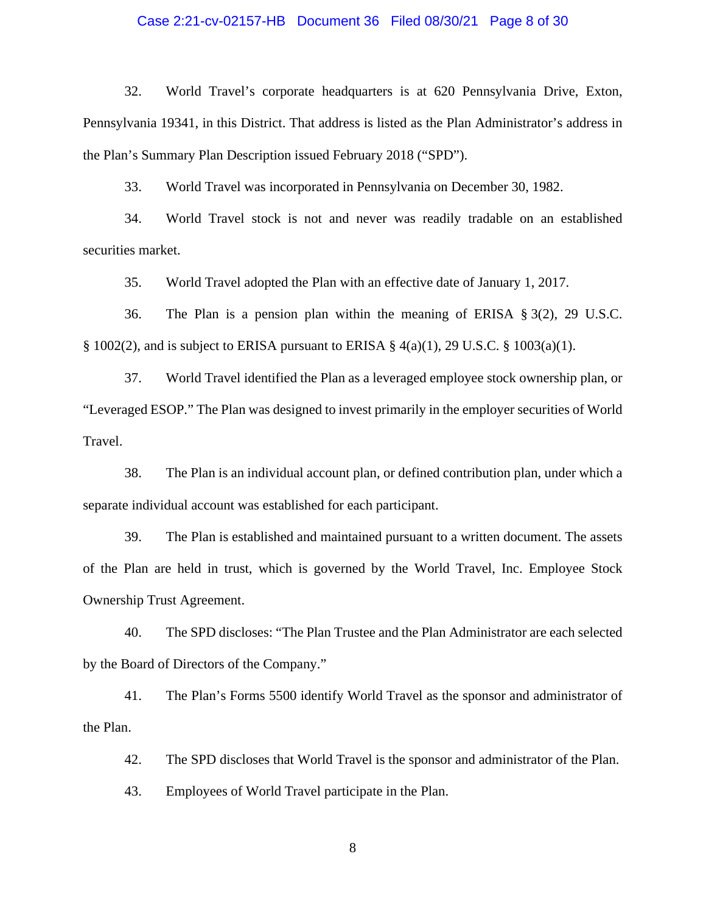### Case 2:21-cv-02157-HB Document 36 Filed 08/30/21 Page 8 of 30

32. World Travel's corporate headquarters is at 620 Pennsylvania Drive, Exton, Pennsylvania 19341, in this District. That address is listed as the Plan Administrator's address in the Plan's Summary Plan Description issued February 2018 ("SPD").

33. World Travel was incorporated in Pennsylvania on December 30, 1982.

34. World Travel stock is not and never was readily tradable on an established securities market.

35. World Travel adopted the Plan with an effective date of January 1, 2017.

36. The Plan is a pension plan within the meaning of ERISA § 3(2), 29 U.S.C. § 1002(2), and is subject to ERISA pursuant to ERISA § 4(a)(1), 29 U.S.C. § 1003(a)(1).

37. World Travel identified the Plan as a leveraged employee stock ownership plan, or "Leveraged ESOP." The Plan was designed to invest primarily in the employer securities of World Travel.

38. The Plan is an individual account plan, or defined contribution plan, under which a separate individual account was established for each participant.

39. The Plan is established and maintained pursuant to a written document. The assets of the Plan are held in trust, which is governed by the World Travel, Inc. Employee Stock Ownership Trust Agreement.

40. The SPD discloses: "The Plan Trustee and the Plan Administrator are each selected by the Board of Directors of the Company."

41. The Plan's Forms 5500 identify World Travel as the sponsor and administrator of the Plan.

42. The SPD discloses that World Travel is the sponsor and administrator of the Plan.

43. Employees of World Travel participate in the Plan.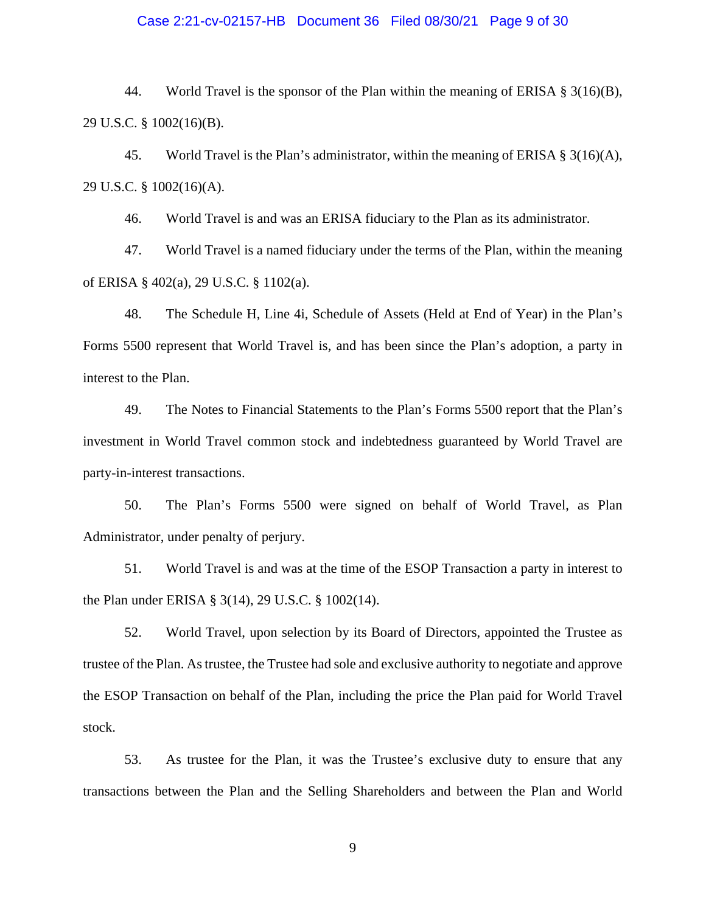### Case 2:21-cv-02157-HB Document 36 Filed 08/30/21 Page 9 of 30

44. World Travel is the sponsor of the Plan within the meaning of ERISA  $\S 3(16)(B)$ , 29 U.S.C. § 1002(16)(B).

45. World Travel is the Plan's administrator, within the meaning of ERISA  $\S 3(16)(A)$ , 29 U.S.C. § 1002(16)(A).

46. World Travel is and was an ERISA fiduciary to the Plan as its administrator.

47. World Travel is a named fiduciary under the terms of the Plan, within the meaning of ERISA § 402(a), 29 U.S.C. § 1102(a).

48. The Schedule H, Line 4i, Schedule of Assets (Held at End of Year) in the Plan's Forms 5500 represent that World Travel is, and has been since the Plan's adoption, a party in interest to the Plan.

49. The Notes to Financial Statements to the Plan's Forms 5500 report that the Plan's investment in World Travel common stock and indebtedness guaranteed by World Travel are party-in-interest transactions.

50. The Plan's Forms 5500 were signed on behalf of World Travel, as Plan Administrator, under penalty of perjury.

51. World Travel is and was at the time of the ESOP Transaction a party in interest to the Plan under ERISA § 3(14), 29 U.S.C. § 1002(14).

52. World Travel, upon selection by its Board of Directors, appointed the Trustee as trustee of the Plan. As trustee, the Trustee had sole and exclusive authority to negotiate and approve the ESOP Transaction on behalf of the Plan, including the price the Plan paid for World Travel stock.

53. As trustee for the Plan, it was the Trustee's exclusive duty to ensure that any transactions between the Plan and the Selling Shareholders and between the Plan and World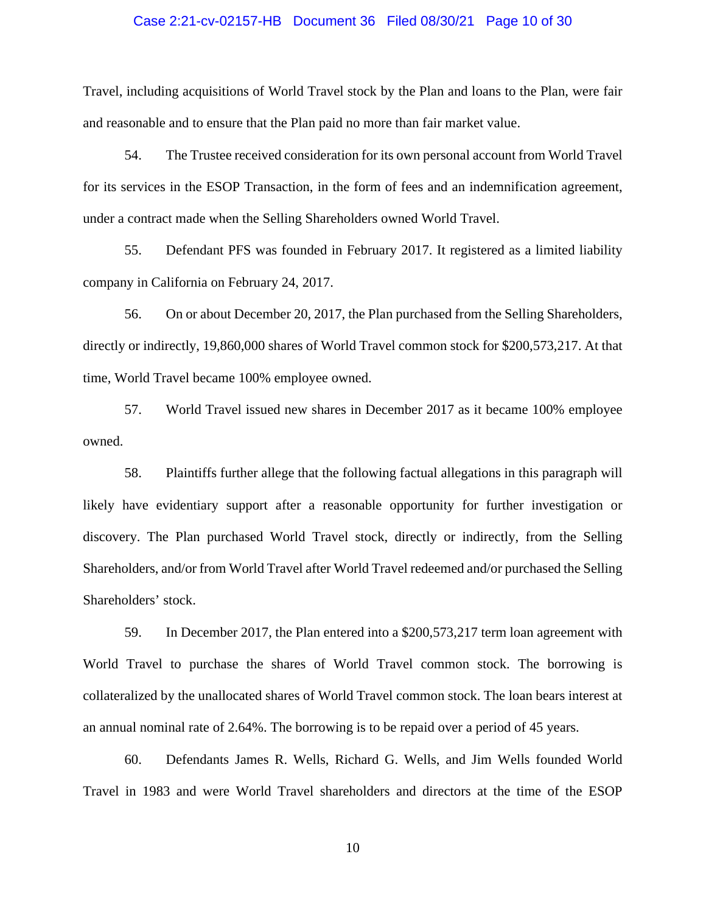### Case 2:21-cv-02157-HB Document 36 Filed 08/30/21 Page 10 of 30

Travel, including acquisitions of World Travel stock by the Plan and loans to the Plan, were fair and reasonable and to ensure that the Plan paid no more than fair market value.

54. The Trustee received consideration for its own personal account from World Travel for its services in the ESOP Transaction, in the form of fees and an indemnification agreement, under a contract made when the Selling Shareholders owned World Travel.

55. Defendant PFS was founded in February 2017. It registered as a limited liability company in California on February 24, 2017.

56. On or about December 20, 2017, the Plan purchased from the Selling Shareholders, directly or indirectly, 19,860,000 shares of World Travel common stock for \$200,573,217. At that time, World Travel became 100% employee owned.

57. World Travel issued new shares in December 2017 as it became 100% employee owned.

58. Plaintiffs further allege that the following factual allegations in this paragraph will likely have evidentiary support after a reasonable opportunity for further investigation or discovery. The Plan purchased World Travel stock, directly or indirectly, from the Selling Shareholders, and/or from World Travel after World Travel redeemed and/or purchased the Selling Shareholders' stock.

59. In December 2017, the Plan entered into a \$200,573,217 term loan agreement with World Travel to purchase the shares of World Travel common stock. The borrowing is collateralized by the unallocated shares of World Travel common stock. The loan bears interest at an annual nominal rate of 2.64%. The borrowing is to be repaid over a period of 45 years.

60. Defendants James R. Wells, Richard G. Wells, and Jim Wells founded World Travel in 1983 and were World Travel shareholders and directors at the time of the ESOP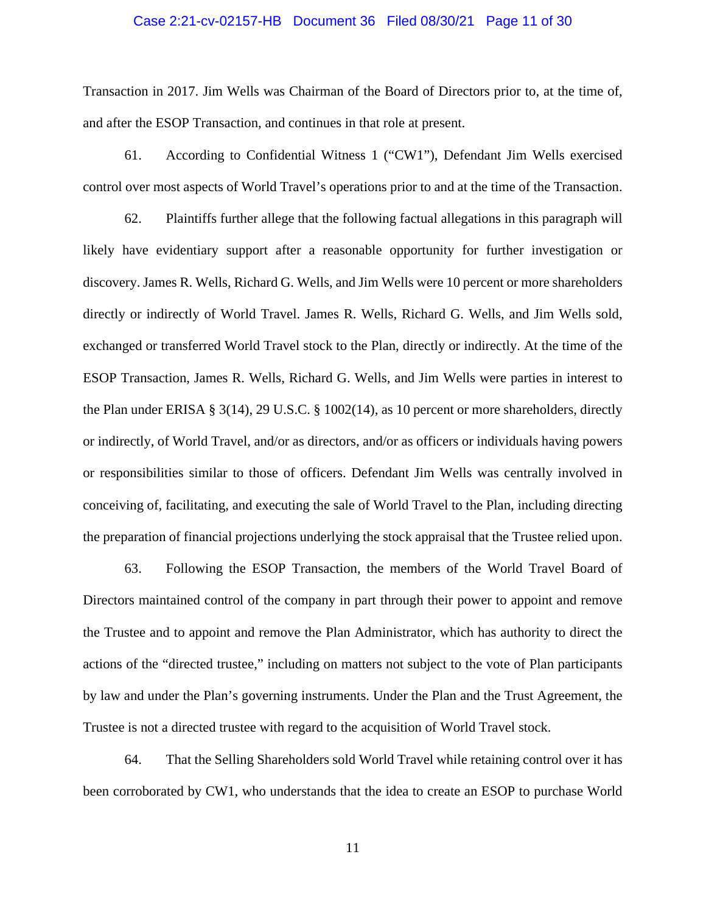### Case 2:21-cv-02157-HB Document 36 Filed 08/30/21 Page 11 of 30

Transaction in 2017. Jim Wells was Chairman of the Board of Directors prior to, at the time of, and after the ESOP Transaction, and continues in that role at present.

61. According to Confidential Witness 1 ("CW1"), Defendant Jim Wells exercised control over most aspects of World Travel's operations prior to and at the time of the Transaction.

62. Plaintiffs further allege that the following factual allegations in this paragraph will likely have evidentiary support after a reasonable opportunity for further investigation or discovery. James R. Wells, Richard G. Wells, and Jim Wells were 10 percent or more shareholders directly or indirectly of World Travel. James R. Wells, Richard G. Wells, and Jim Wells sold, exchanged or transferred World Travel stock to the Plan, directly or indirectly. At the time of the ESOP Transaction, James R. Wells, Richard G. Wells, and Jim Wells were parties in interest to the Plan under ERISA § 3(14), 29 U.S.C. § 1002(14), as 10 percent or more shareholders, directly or indirectly, of World Travel, and/or as directors, and/or as officers or individuals having powers or responsibilities similar to those of officers. Defendant Jim Wells was centrally involved in conceiving of, facilitating, and executing the sale of World Travel to the Plan, including directing the preparation of financial projections underlying the stock appraisal that the Trustee relied upon.

63. Following the ESOP Transaction, the members of the World Travel Board of Directors maintained control of the company in part through their power to appoint and remove the Trustee and to appoint and remove the Plan Administrator, which has authority to direct the actions of the "directed trustee," including on matters not subject to the vote of Plan participants by law and under the Plan's governing instruments. Under the Plan and the Trust Agreement, the Trustee is not a directed trustee with regard to the acquisition of World Travel stock.

64. That the Selling Shareholders sold World Travel while retaining control over it has been corroborated by CW1, who understands that the idea to create an ESOP to purchase World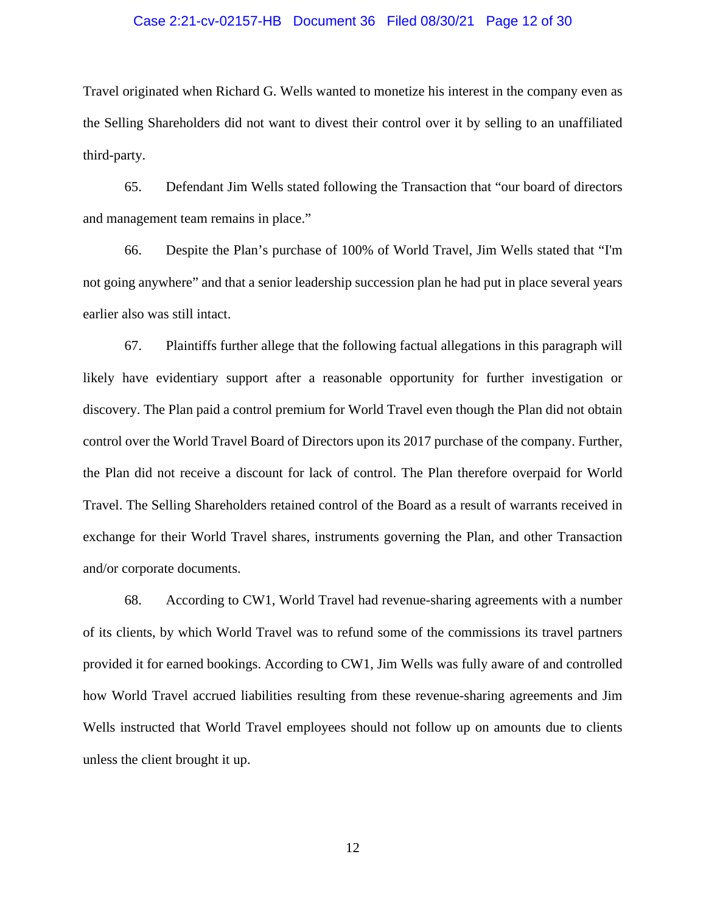### Case 2:21-cv-02157-HB Document 36 Filed 08/30/21 Page 12 of 30

Travel originated when Richard G. Wells wanted to monetize his interest in the company even as the Selling Shareholders did not want to divest their control over it by selling to an unaffiliated third-party.

65. Defendant Jim Wells stated following the Transaction that "our board of directors and management team remains in place."

66. Despite the Plan's purchase of 100% of World Travel, Jim Wells stated that "I'm not going anywhere" and that a senior leadership succession plan he had put in place several years earlier also was still intact.

67. Plaintiffs further allege that the following factual allegations in this paragraph will likely have evidentiary support after a reasonable opportunity for further investigation or discovery. The Plan paid a control premium for World Travel even though the Plan did not obtain control over the World Travel Board of Directors upon its 2017 purchase of the company. Further, the Plan did not receive a discount for lack of control. The Plan therefore overpaid for World Travel. The Selling Shareholders retained control of the Board as a result of warrants received in exchange for their World Travel shares, instruments governing the Plan, and other Transaction and/or corporate documents.

68. According to CW1, World Travel had revenue-sharing agreements with a number of its clients, by which World Travel was to refund some of the commissions its travel partners provided it for earned bookings. According to CW1, Jim Wells was fully aware of and controlled how World Travel accrued liabilities resulting from these revenue-sharing agreements and Jim Wells instructed that World Travel employees should not follow up on amounts due to clients unless the client brought it up.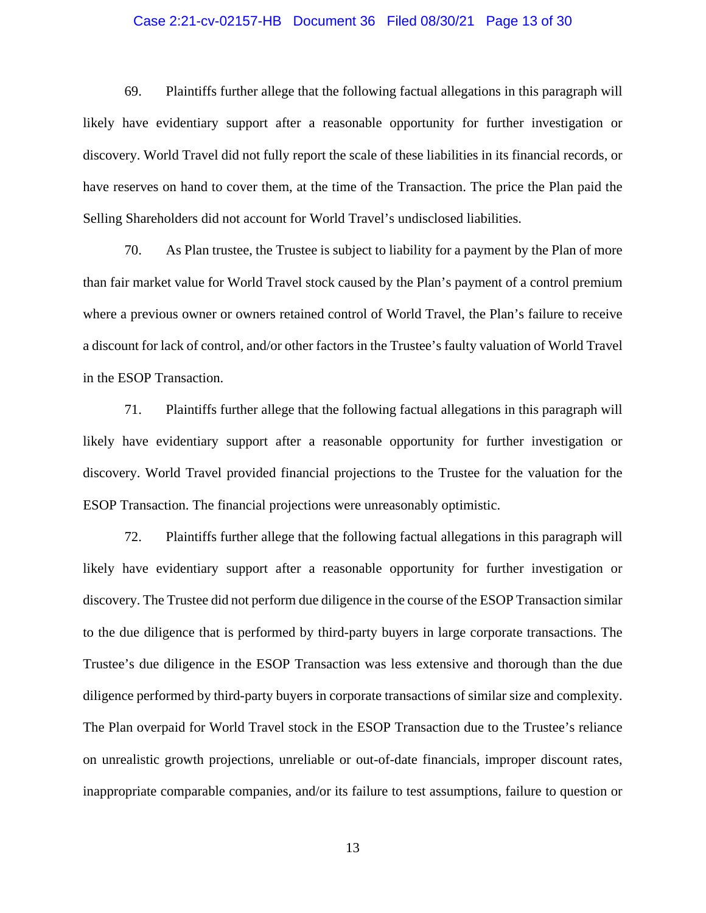### Case 2:21-cv-02157-HB Document 36 Filed 08/30/21 Page 13 of 30

69. Plaintiffs further allege that the following factual allegations in this paragraph will likely have evidentiary support after a reasonable opportunity for further investigation or discovery. World Travel did not fully report the scale of these liabilities in its financial records, or have reserves on hand to cover them, at the time of the Transaction. The price the Plan paid the Selling Shareholders did not account for World Travel's undisclosed liabilities.

70. As Plan trustee, the Trustee is subject to liability for a payment by the Plan of more than fair market value for World Travel stock caused by the Plan's payment of a control premium where a previous owner or owners retained control of World Travel, the Plan's failure to receive a discount for lack of control, and/or other factors in the Trustee's faulty valuation of World Travel in the ESOP Transaction.

71. Plaintiffs further allege that the following factual allegations in this paragraph will likely have evidentiary support after a reasonable opportunity for further investigation or discovery. World Travel provided financial projections to the Trustee for the valuation for the ESOP Transaction. The financial projections were unreasonably optimistic.

72. Plaintiffs further allege that the following factual allegations in this paragraph will likely have evidentiary support after a reasonable opportunity for further investigation or discovery. The Trustee did not perform due diligence in the course of the ESOP Transaction similar to the due diligence that is performed by third-party buyers in large corporate transactions. The Trustee's due diligence in the ESOP Transaction was less extensive and thorough than the due diligence performed by third-party buyers in corporate transactions of similar size and complexity. The Plan overpaid for World Travel stock in the ESOP Transaction due to the Trustee's reliance on unrealistic growth projections, unreliable or out-of-date financials, improper discount rates, inappropriate comparable companies, and/or its failure to test assumptions, failure to question or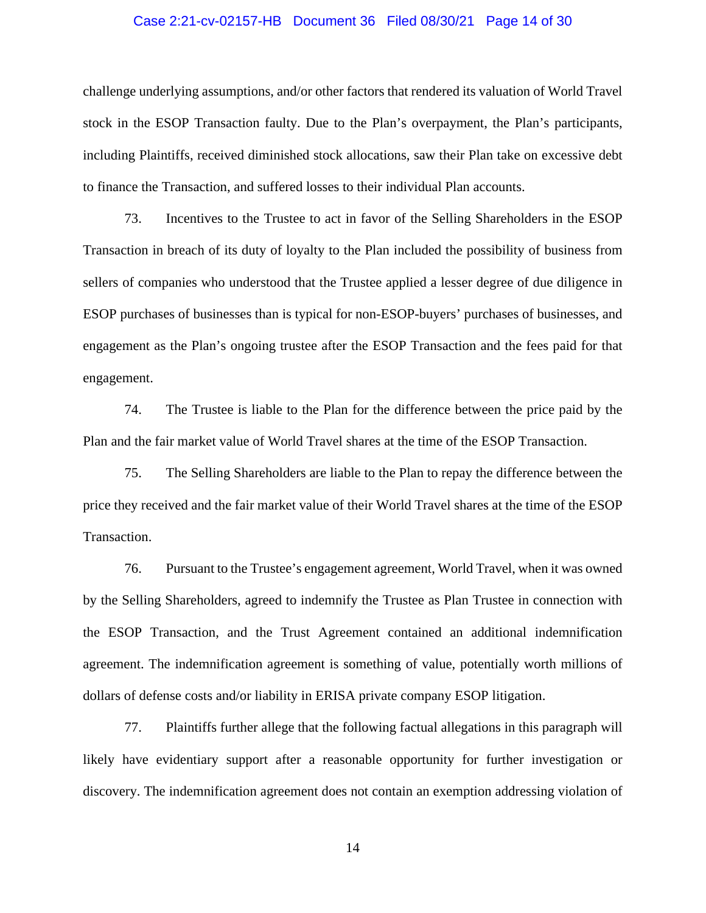### Case 2:21-cv-02157-HB Document 36 Filed 08/30/21 Page 14 of 30

challenge underlying assumptions, and/or other factors that rendered its valuation of World Travel stock in the ESOP Transaction faulty. Due to the Plan's overpayment, the Plan's participants, including Plaintiffs, received diminished stock allocations, saw their Plan take on excessive debt to finance the Transaction, and suffered losses to their individual Plan accounts.

73. Incentives to the Trustee to act in favor of the Selling Shareholders in the ESOP Transaction in breach of its duty of loyalty to the Plan included the possibility of business from sellers of companies who understood that the Trustee applied a lesser degree of due diligence in ESOP purchases of businesses than is typical for non-ESOP-buyers' purchases of businesses, and engagement as the Plan's ongoing trustee after the ESOP Transaction and the fees paid for that engagement.

74. The Trustee is liable to the Plan for the difference between the price paid by the Plan and the fair market value of World Travel shares at the time of the ESOP Transaction.

75. The Selling Shareholders are liable to the Plan to repay the difference between the price they received and the fair market value of their World Travel shares at the time of the ESOP Transaction.

76. Pursuant to the Trustee's engagement agreement, World Travel, when it was owned by the Selling Shareholders, agreed to indemnify the Trustee as Plan Trustee in connection with the ESOP Transaction, and the Trust Agreement contained an additional indemnification agreement. The indemnification agreement is something of value, potentially worth millions of dollars of defense costs and/or liability in ERISA private company ESOP litigation.

77. Plaintiffs further allege that the following factual allegations in this paragraph will likely have evidentiary support after a reasonable opportunity for further investigation or discovery. The indemnification agreement does not contain an exemption addressing violation of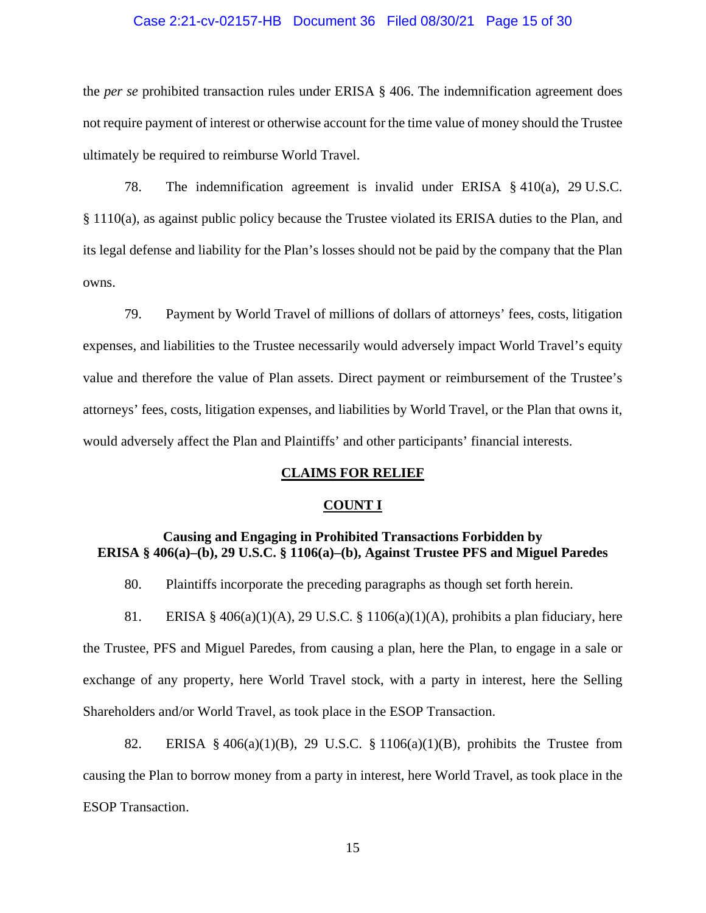### Case 2:21-cv-02157-HB Document 36 Filed 08/30/21 Page 15 of 30

the *per se* prohibited transaction rules under ERISA § 406. The indemnification agreement does not require payment of interest or otherwise account for the time value of money should the Trustee ultimately be required to reimburse World Travel.

78. The indemnification agreement is invalid under ERISA § 410(a), 29 U.S.C. § 1110(a), as against public policy because the Trustee violated its ERISA duties to the Plan, and its legal defense and liability for the Plan's losses should not be paid by the company that the Plan owns.

79. Payment by World Travel of millions of dollars of attorneys' fees, costs, litigation expenses, and liabilities to the Trustee necessarily would adversely impact World Travel's equity value and therefore the value of Plan assets. Direct payment or reimbursement of the Trustee's attorneys' fees, costs, litigation expenses, and liabilities by World Travel, or the Plan that owns it, would adversely affect the Plan and Plaintiffs' and other participants' financial interests.

#### **CLAIMS FOR RELIEF**

#### **COUNT I**

## **Causing and Engaging in Prohibited Transactions Forbidden by ERISA § 406(a)–(b), 29 U.S.C. § 1106(a)–(b), Against Trustee PFS and Miguel Paredes**

80. Plaintiffs incorporate the preceding paragraphs as though set forth herein.

81. ERISA § 406(a)(1)(A), 29 U.S.C. § 1106(a)(1)(A), prohibits a plan fiduciary, here the Trustee, PFS and Miguel Paredes, from causing a plan, here the Plan, to engage in a sale or exchange of any property, here World Travel stock, with a party in interest, here the Selling Shareholders and/or World Travel, as took place in the ESOP Transaction.

82. ERISA § 406(a)(1)(B), 29 U.S.C. § 1106(a)(1)(B), prohibits the Trustee from causing the Plan to borrow money from a party in interest, here World Travel, as took place in the ESOP Transaction.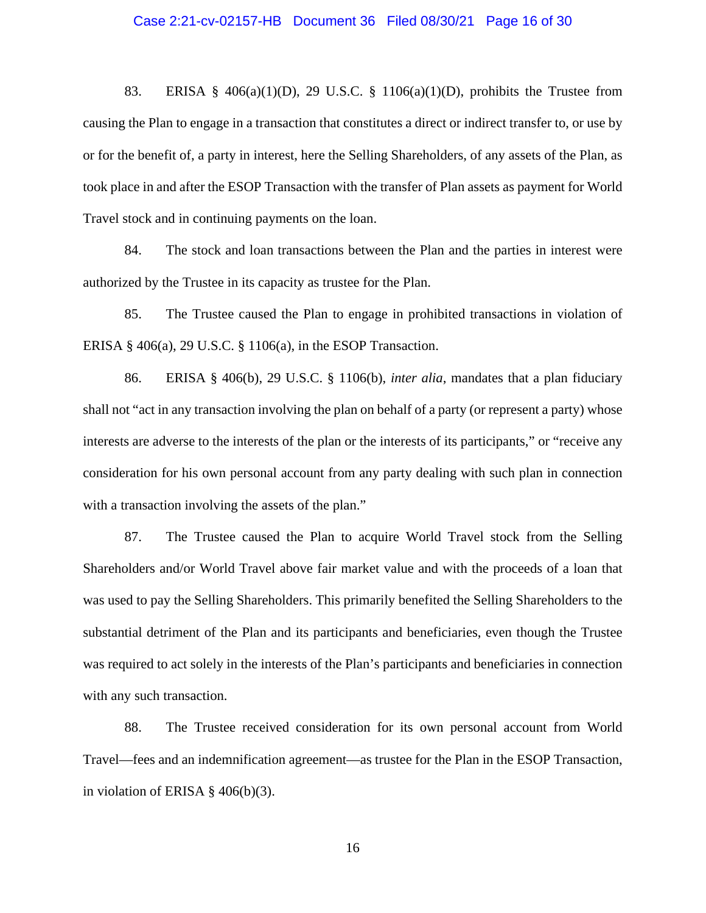#### Case 2:21-cv-02157-HB Document 36 Filed 08/30/21 Page 16 of 30

83. ERISA § 406(a)(1)(D), 29 U.S.C. § 1106(a)(1)(D), prohibits the Trustee from causing the Plan to engage in a transaction that constitutes a direct or indirect transfer to, or use by or for the benefit of, a party in interest, here the Selling Shareholders, of any assets of the Plan, as took place in and after the ESOP Transaction with the transfer of Plan assets as payment for World Travel stock and in continuing payments on the loan.

84. The stock and loan transactions between the Plan and the parties in interest were authorized by the Trustee in its capacity as trustee for the Plan.

85. The Trustee caused the Plan to engage in prohibited transactions in violation of ERISA § 406(a), 29 U.S.C. § 1106(a), in the ESOP Transaction.

86. ERISA § 406(b), 29 U.S.C. § 1106(b), *inter alia*, mandates that a plan fiduciary shall not "act in any transaction involving the plan on behalf of a party (or represent a party) whose interests are adverse to the interests of the plan or the interests of its participants," or "receive any consideration for his own personal account from any party dealing with such plan in connection with a transaction involving the assets of the plan."

87. The Trustee caused the Plan to acquire World Travel stock from the Selling Shareholders and/or World Travel above fair market value and with the proceeds of a loan that was used to pay the Selling Shareholders. This primarily benefited the Selling Shareholders to the substantial detriment of the Plan and its participants and beneficiaries, even though the Trustee was required to act solely in the interests of the Plan's participants and beneficiaries in connection with any such transaction.

88. The Trustee received consideration for its own personal account from World Travel—fees and an indemnification agreement—as trustee for the Plan in the ESOP Transaction, in violation of ERISA § 406(b)(3).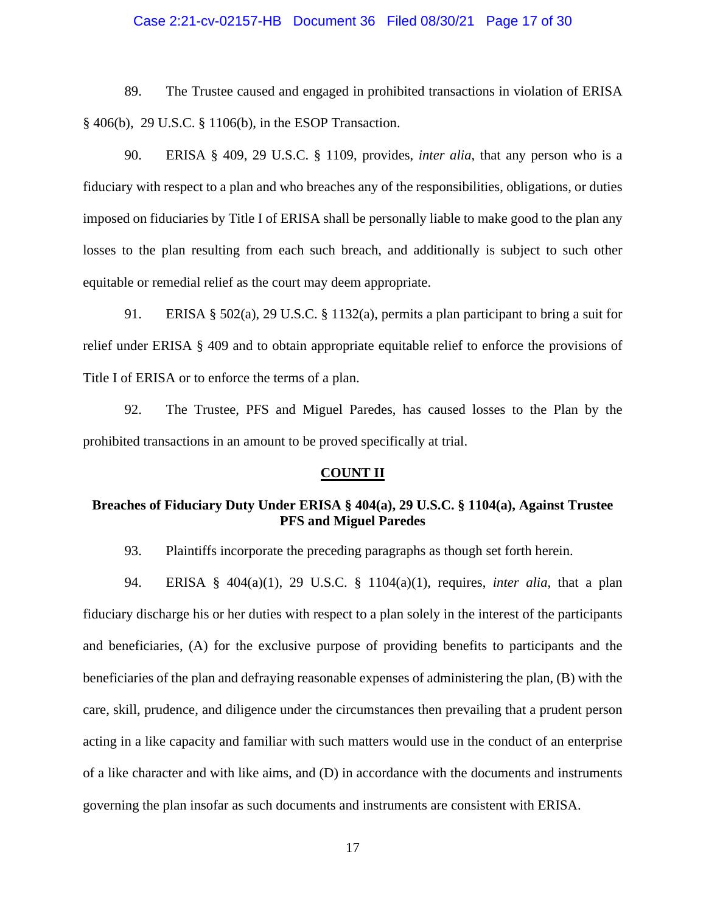### Case 2:21-cv-02157-HB Document 36 Filed 08/30/21 Page 17 of 30

89. The Trustee caused and engaged in prohibited transactions in violation of ERISA § 406(b), 29 U.S.C. § 1106(b), in the ESOP Transaction.

90. ERISA § 409, 29 U.S.C. § 1109, provides, *inter alia*, that any person who is a fiduciary with respect to a plan and who breaches any of the responsibilities, obligations, or duties imposed on fiduciaries by Title I of ERISA shall be personally liable to make good to the plan any losses to the plan resulting from each such breach, and additionally is subject to such other equitable or remedial relief as the court may deem appropriate.

91. ERISA § 502(a), 29 U.S.C. § 1132(a), permits a plan participant to bring a suit for relief under ERISA § 409 and to obtain appropriate equitable relief to enforce the provisions of Title I of ERISA or to enforce the terms of a plan.

92. The Trustee, PFS and Miguel Paredes, has caused losses to the Plan by the prohibited transactions in an amount to be proved specifically at trial.

#### **COUNT II**

# **Breaches of Fiduciary Duty Under ERISA § 404(a), 29 U.S.C. § 1104(a), Against Trustee PFS and Miguel Paredes**

93. Plaintiffs incorporate the preceding paragraphs as though set forth herein.

94. ERISA § 404(a)(1), 29 U.S.C. § 1104(a)(1), requires, *inter alia*, that a plan fiduciary discharge his or her duties with respect to a plan solely in the interest of the participants and beneficiaries, (A) for the exclusive purpose of providing benefits to participants and the beneficiaries of the plan and defraying reasonable expenses of administering the plan, (B) with the care, skill, prudence, and diligence under the circumstances then prevailing that a prudent person acting in a like capacity and familiar with such matters would use in the conduct of an enterprise of a like character and with like aims, and (D) in accordance with the documents and instruments governing the plan insofar as such documents and instruments are consistent with ERISA.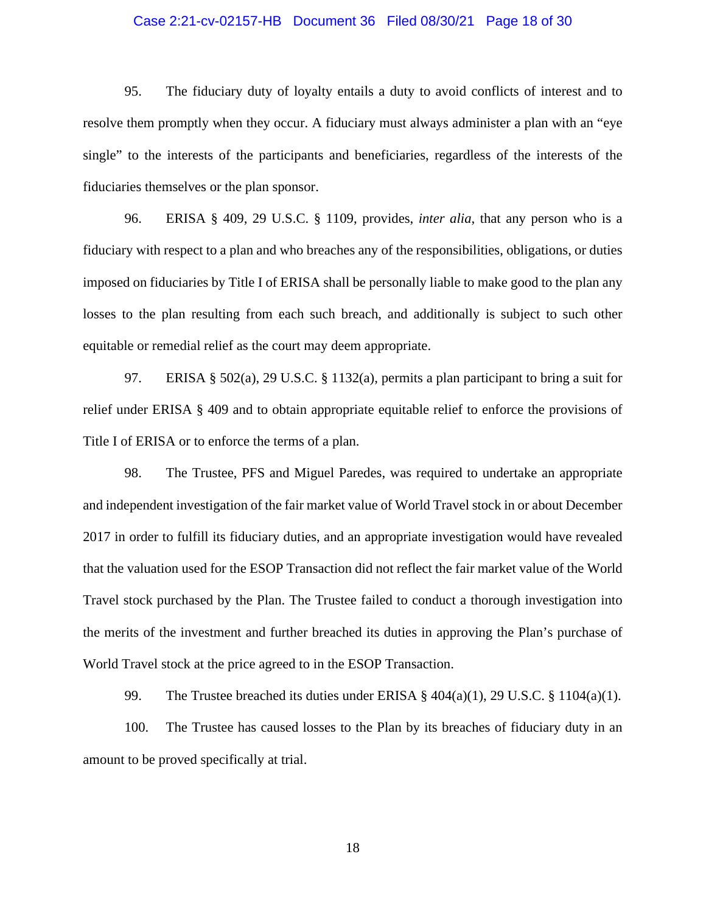## Case 2:21-cv-02157-HB Document 36 Filed 08/30/21 Page 18 of 30

95. The fiduciary duty of loyalty entails a duty to avoid conflicts of interest and to resolve them promptly when they occur. A fiduciary must always administer a plan with an "eye single" to the interests of the participants and beneficiaries, regardless of the interests of the fiduciaries themselves or the plan sponsor.

96. ERISA § 409, 29 U.S.C. § 1109, provides, *inter alia*, that any person who is a fiduciary with respect to a plan and who breaches any of the responsibilities, obligations, or duties imposed on fiduciaries by Title I of ERISA shall be personally liable to make good to the plan any losses to the plan resulting from each such breach, and additionally is subject to such other equitable or remedial relief as the court may deem appropriate.

97. ERISA § 502(a), 29 U.S.C. § 1132(a), permits a plan participant to bring a suit for relief under ERISA § 409 and to obtain appropriate equitable relief to enforce the provisions of Title I of ERISA or to enforce the terms of a plan.

98. The Trustee, PFS and Miguel Paredes, was required to undertake an appropriate and independent investigation of the fair market value of World Travel stock in or about December 2017 in order to fulfill its fiduciary duties, and an appropriate investigation would have revealed that the valuation used for the ESOP Transaction did not reflect the fair market value of the World Travel stock purchased by the Plan. The Trustee failed to conduct a thorough investigation into the merits of the investment and further breached its duties in approving the Plan's purchase of World Travel stock at the price agreed to in the ESOP Transaction.

99. The Trustee breached its duties under ERISA § 404(a)(1), 29 U.S.C. § 1104(a)(1).

100. The Trustee has caused losses to the Plan by its breaches of fiduciary duty in an amount to be proved specifically at trial.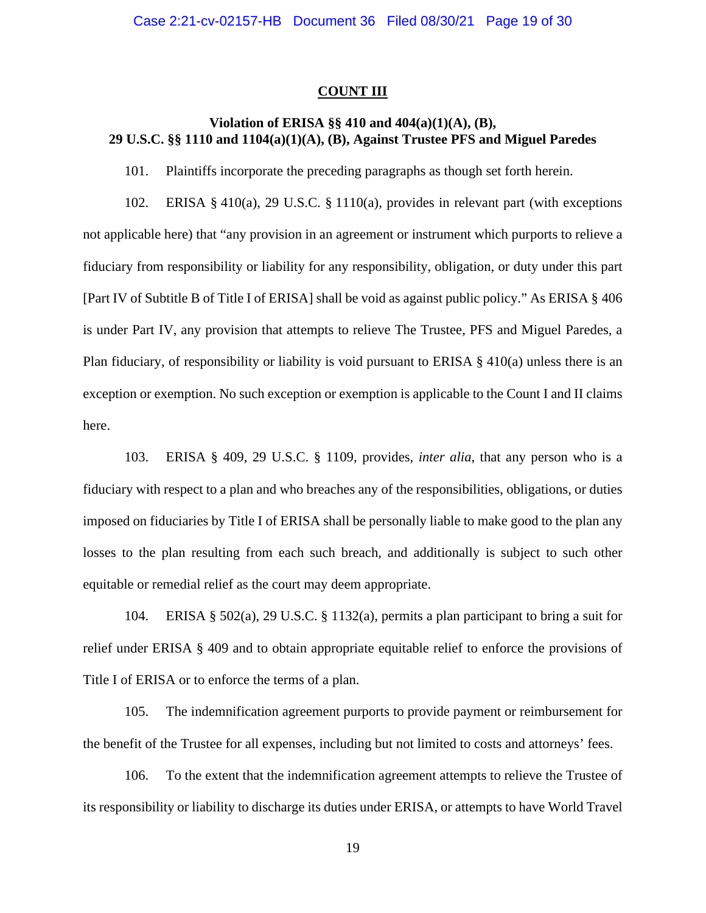### **COUNT III**

# **Violation of ERISA §§ 410 and 404(a)(1)(A), (B), 29 U.S.C. §§ 1110 and 1104(a)(1)(A), (B), Against Trustee PFS and Miguel Paredes**

101. Plaintiffs incorporate the preceding paragraphs as though set forth herein.

102. ERISA § 410(a), 29 U.S.C. § 1110(a), provides in relevant part (with exceptions not applicable here) that "any provision in an agreement or instrument which purports to relieve a fiduciary from responsibility or liability for any responsibility, obligation, or duty under this part [Part IV of Subtitle B of Title I of ERISA] shall be void as against public policy." As ERISA § 406 is under Part IV, any provision that attempts to relieve The Trustee, PFS and Miguel Paredes, a Plan fiduciary, of responsibility or liability is void pursuant to ERISA  $\S$  410(a) unless there is an exception or exemption. No such exception or exemption is applicable to the Count I and II claims here.

103. ERISA § 409, 29 U.S.C. § 1109, provides, *inter alia*, that any person who is a fiduciary with respect to a plan and who breaches any of the responsibilities, obligations, or duties imposed on fiduciaries by Title I of ERISA shall be personally liable to make good to the plan any losses to the plan resulting from each such breach, and additionally is subject to such other equitable or remedial relief as the court may deem appropriate.

104. ERISA § 502(a), 29 U.S.C. § 1132(a), permits a plan participant to bring a suit for relief under ERISA § 409 and to obtain appropriate equitable relief to enforce the provisions of Title I of ERISA or to enforce the terms of a plan.

105. The indemnification agreement purports to provide payment or reimbursement for the benefit of the Trustee for all expenses, including but not limited to costs and attorneys' fees.

106. To the extent that the indemnification agreement attempts to relieve the Trustee of its responsibility or liability to discharge its duties under ERISA, or attempts to have World Travel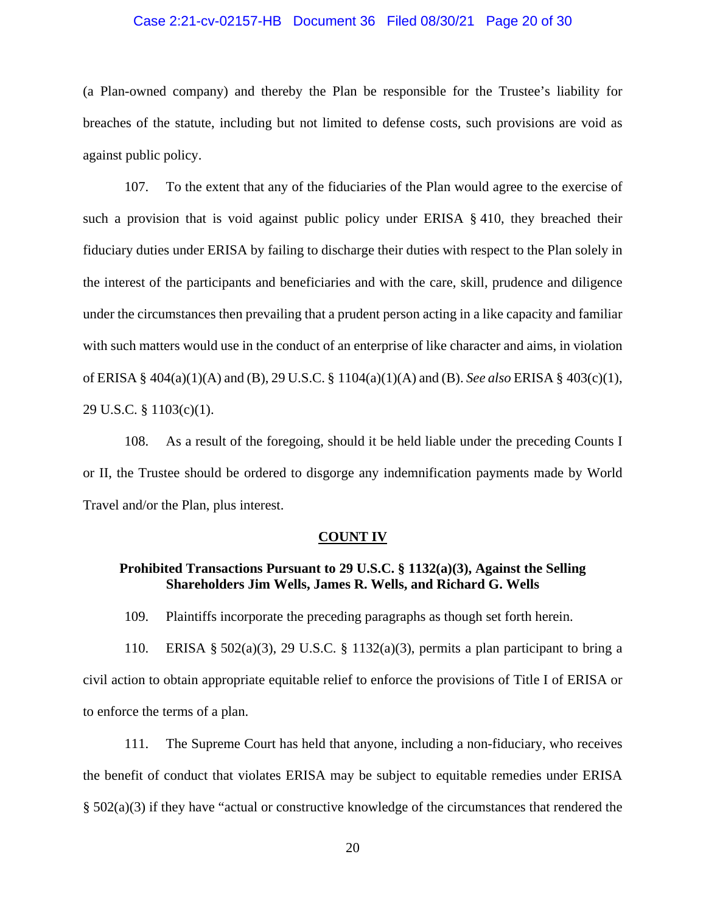### Case 2:21-cv-02157-HB Document 36 Filed 08/30/21 Page 20 of 30

(a Plan-owned company) and thereby the Plan be responsible for the Trustee's liability for breaches of the statute, including but not limited to defense costs, such provisions are void as against public policy.

107. To the extent that any of the fiduciaries of the Plan would agree to the exercise of such a provision that is void against public policy under ERISA § 410, they breached their fiduciary duties under ERISA by failing to discharge their duties with respect to the Plan solely in the interest of the participants and beneficiaries and with the care, skill, prudence and diligence under the circumstances then prevailing that a prudent person acting in a like capacity and familiar with such matters would use in the conduct of an enterprise of like character and aims, in violation of ERISA § 404(a)(1)(A) and (B), 29 U.S.C. § 1104(a)(1)(A) and (B). *See also* ERISA § 403(c)(1), 29 U.S.C. § 1103(c)(1).

108. As a result of the foregoing, should it be held liable under the preceding Counts I or II, the Trustee should be ordered to disgorge any indemnification payments made by World Travel and/or the Plan, plus interest.

#### **COUNT IV**

## **Prohibited Transactions Pursuant to 29 U.S.C. § 1132(a)(3), Against the Selling Shareholders Jim Wells, James R. Wells, and Richard G. Wells**

109. Plaintiffs incorporate the preceding paragraphs as though set forth herein.

110. ERISA § 502(a)(3), 29 U.S.C. § 1132(a)(3), permits a plan participant to bring a civil action to obtain appropriate equitable relief to enforce the provisions of Title I of ERISA or to enforce the terms of a plan.

111. The Supreme Court has held that anyone, including a non-fiduciary, who receives the benefit of conduct that violates ERISA may be subject to equitable remedies under ERISA § 502(a)(3) if they have "actual or constructive knowledge of the circumstances that rendered the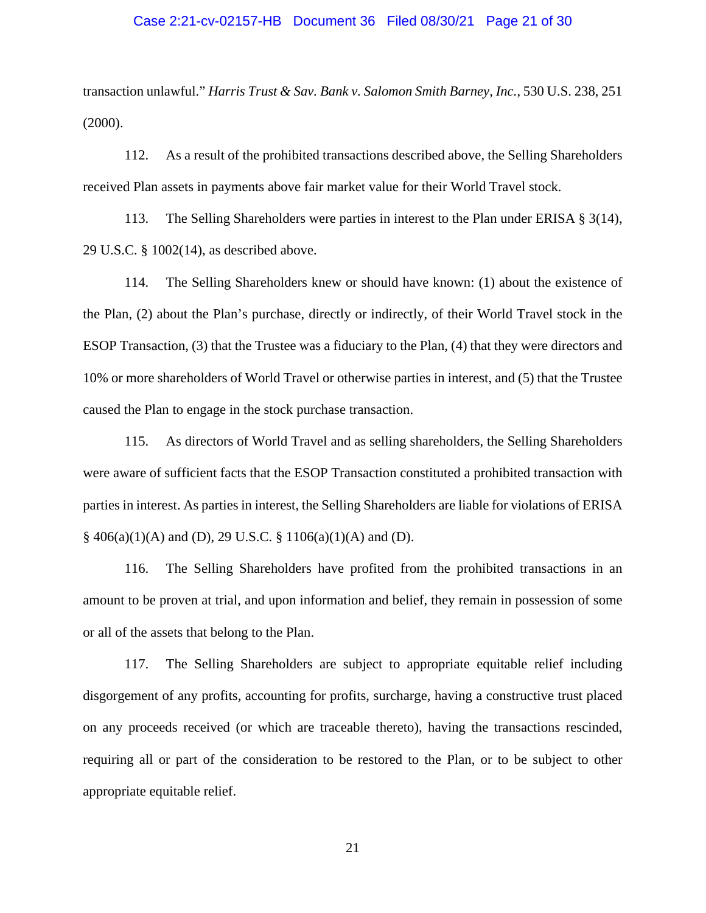#### Case 2:21-cv-02157-HB Document 36 Filed 08/30/21 Page 21 of 30

transaction unlawful." *Harris Trust & Sav. Bank v. Salomon Smith Barney, Inc.*, 530 U.S. 238, 251  $(2000).$ 

112. As a result of the prohibited transactions described above, the Selling Shareholders received Plan assets in payments above fair market value for their World Travel stock.

113. The Selling Shareholders were parties in interest to the Plan under ERISA § 3(14), 29 U.S.C. § 1002(14), as described above.

114. The Selling Shareholders knew or should have known: (1) about the existence of the Plan, (2) about the Plan's purchase, directly or indirectly, of their World Travel stock in the ESOP Transaction, (3) that the Trustee was a fiduciary to the Plan, (4) that they were directors and 10% or more shareholders of World Travel or otherwise parties in interest, and (5) that the Trustee caused the Plan to engage in the stock purchase transaction.

115. As directors of World Travel and as selling shareholders, the Selling Shareholders were aware of sufficient facts that the ESOP Transaction constituted a prohibited transaction with parties in interest. As parties in interest, the Selling Shareholders are liable for violations of ERISA  $§$  406(a)(1)(A) and (D), 29 U.S.C. § 1106(a)(1)(A) and (D).

116. The Selling Shareholders have profited from the prohibited transactions in an amount to be proven at trial, and upon information and belief, they remain in possession of some or all of the assets that belong to the Plan.

117. The Selling Shareholders are subject to appropriate equitable relief including disgorgement of any profits, accounting for profits, surcharge, having a constructive trust placed on any proceeds received (or which are traceable thereto), having the transactions rescinded, requiring all or part of the consideration to be restored to the Plan, or to be subject to other appropriate equitable relief.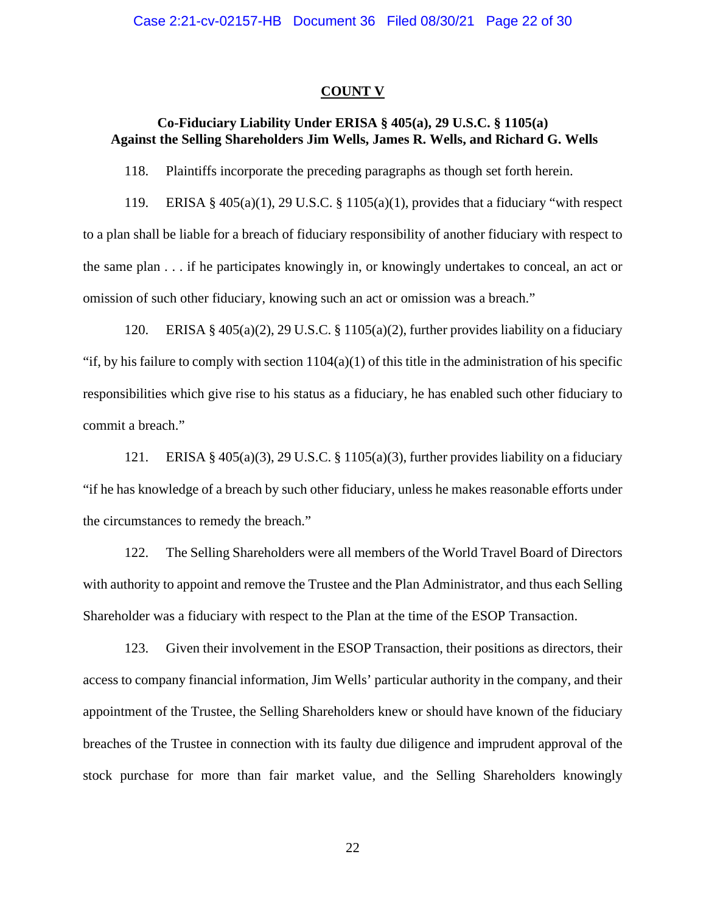#### **COUNT V**

# **Co-Fiduciary Liability Under ERISA § 405(a), 29 U.S.C. § 1105(a) Against the Selling Shareholders Jim Wells, James R. Wells, and Richard G. Wells**

118. Plaintiffs incorporate the preceding paragraphs as though set forth herein.

119. ERISA §  $405(a)(1)$ , 29 U.S.C. § 1105(a)(1), provides that a fiduciary "with respect to a plan shall be liable for a breach of fiduciary responsibility of another fiduciary with respect to the same plan . . . if he participates knowingly in, or knowingly undertakes to conceal, an act or omission of such other fiduciary, knowing such an act or omission was a breach."

120. ERISA § 405(a)(2), 29 U.S.C. § 1105(a)(2), further provides liability on a fiduciary "if, by his failure to comply with section  $1104(a)(1)$  of this title in the administration of his specific responsibilities which give rise to his status as a fiduciary, he has enabled such other fiduciary to commit a breach."

121. ERISA § 405(a)(3), 29 U.S.C. § 1105(a)(3), further provides liability on a fiduciary "if he has knowledge of a breach by such other fiduciary, unless he makes reasonable efforts under the circumstances to remedy the breach."

122. The Selling Shareholders were all members of the World Travel Board of Directors with authority to appoint and remove the Trustee and the Plan Administrator, and thus each Selling Shareholder was a fiduciary with respect to the Plan at the time of the ESOP Transaction.

123. Given their involvement in the ESOP Transaction, their positions as directors, their access to company financial information, Jim Wells' particular authority in the company, and their appointment of the Trustee, the Selling Shareholders knew or should have known of the fiduciary breaches of the Trustee in connection with its faulty due diligence and imprudent approval of the stock purchase for more than fair market value, and the Selling Shareholders knowingly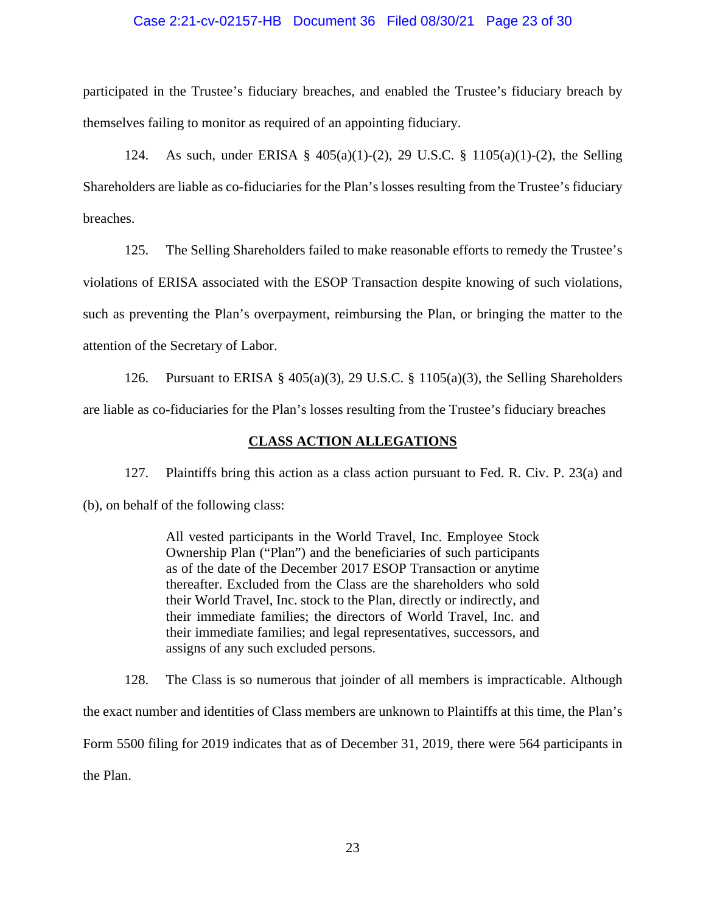### Case 2:21-cv-02157-HB Document 36 Filed 08/30/21 Page 23 of 30

participated in the Trustee's fiduciary breaches, and enabled the Trustee's fiduciary breach by themselves failing to monitor as required of an appointing fiduciary.

124. As such, under ERISA § 405(a)(1)-(2), 29 U.S.C. § 1105(a)(1)-(2), the Selling Shareholders are liable as co-fiduciaries for the Plan's losses resulting from the Trustee's fiduciary breaches.

125. The Selling Shareholders failed to make reasonable efforts to remedy the Trustee's violations of ERISA associated with the ESOP Transaction despite knowing of such violations, such as preventing the Plan's overpayment, reimbursing the Plan, or bringing the matter to the attention of the Secretary of Labor.

126. Pursuant to ERISA § 405(a)(3), 29 U.S.C. § 1105(a)(3), the Selling Shareholders are liable as co-fiduciaries for the Plan's losses resulting from the Trustee's fiduciary breaches

## **CLASS ACTION ALLEGATIONS**

127. Plaintiffs bring this action as a class action pursuant to Fed. R. Civ. P. 23(a) and (b), on behalf of the following class:

> All vested participants in the World Travel, Inc. Employee Stock Ownership Plan ("Plan") and the beneficiaries of such participants as of the date of the December 2017 ESOP Transaction or anytime thereafter. Excluded from the Class are the shareholders who sold their World Travel, Inc. stock to the Plan, directly or indirectly, and their immediate families; the directors of World Travel, Inc. and their immediate families; and legal representatives, successors, and assigns of any such excluded persons.

128. The Class is so numerous that joinder of all members is impracticable. Although the exact number and identities of Class members are unknown to Plaintiffs at this time, the Plan's Form 5500 filing for 2019 indicates that as of December 31, 2019, there were 564 participants in the Plan.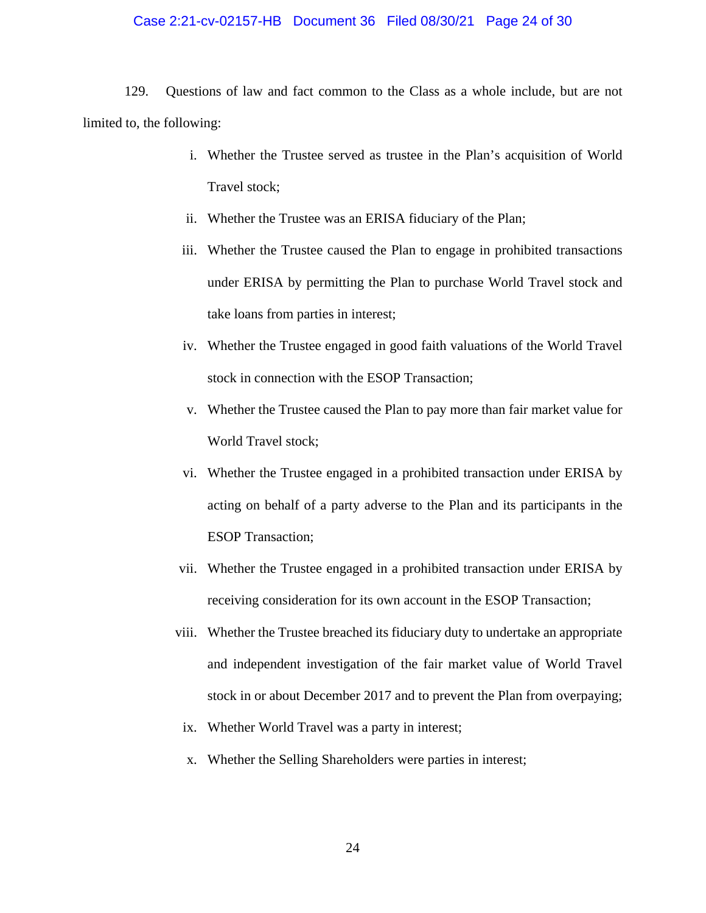#### Case 2:21-cv-02157-HB Document 36 Filed 08/30/21 Page 24 of 30

129. Questions of law and fact common to the Class as a whole include, but are not limited to, the following:

- i. Whether the Trustee served as trustee in the Plan's acquisition of World Travel stock;
- ii. Whether the Trustee was an ERISA fiduciary of the Plan;
- iii. Whether the Trustee caused the Plan to engage in prohibited transactions under ERISA by permitting the Plan to purchase World Travel stock and take loans from parties in interest;
- iv. Whether the Trustee engaged in good faith valuations of the World Travel stock in connection with the ESOP Transaction;
- v. Whether the Trustee caused the Plan to pay more than fair market value for World Travel stock;
- vi. Whether the Trustee engaged in a prohibited transaction under ERISA by acting on behalf of a party adverse to the Plan and its participants in the ESOP Transaction;
- vii. Whether the Trustee engaged in a prohibited transaction under ERISA by receiving consideration for its own account in the ESOP Transaction;
- viii. Whether the Trustee breached its fiduciary duty to undertake an appropriate and independent investigation of the fair market value of World Travel stock in or about December 2017 and to prevent the Plan from overpaying;
- ix. Whether World Travel was a party in interest;
- x. Whether the Selling Shareholders were parties in interest;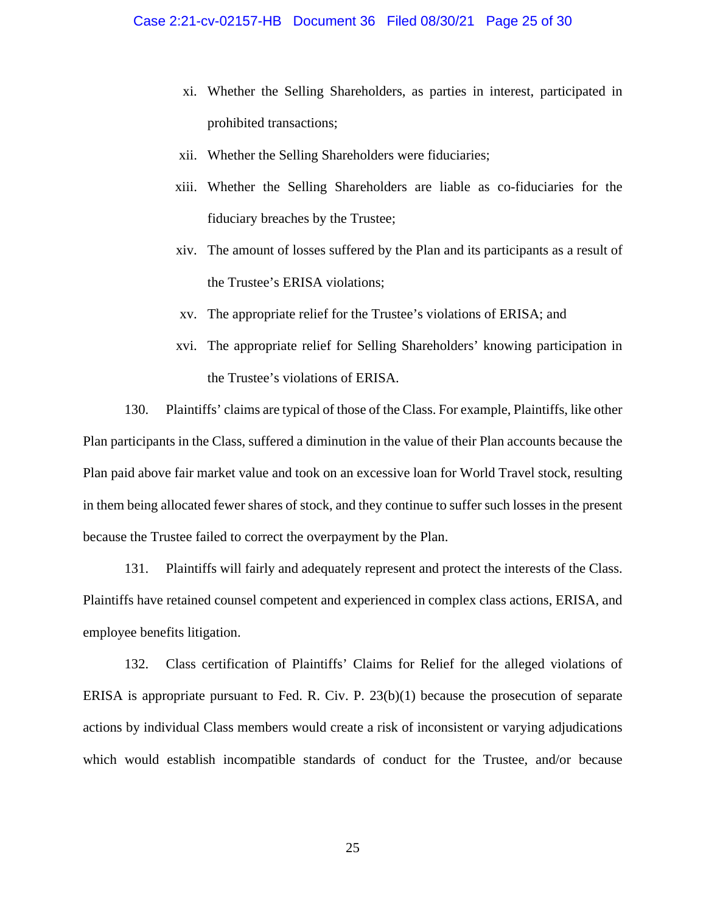- xi. Whether the Selling Shareholders, as parties in interest, participated in prohibited transactions;
- xii. Whether the Selling Shareholders were fiduciaries;
- xiii. Whether the Selling Shareholders are liable as co-fiduciaries for the fiduciary breaches by the Trustee;
- xiv. The amount of losses suffered by the Plan and its participants as a result of the Trustee's ERISA violations;
- xv. The appropriate relief for the Trustee's violations of ERISA; and
- xvi. The appropriate relief for Selling Shareholders' knowing participation in the Trustee's violations of ERISA.

130. Plaintiffs' claims are typical of those of the Class. For example, Plaintiffs, like other Plan participants in the Class, suffered a diminution in the value of their Plan accounts because the Plan paid above fair market value and took on an excessive loan for World Travel stock, resulting in them being allocated fewer shares of stock, and they continue to suffer such losses in the present because the Trustee failed to correct the overpayment by the Plan.

131. Plaintiffs will fairly and adequately represent and protect the interests of the Class. Plaintiffs have retained counsel competent and experienced in complex class actions, ERISA, and employee benefits litigation.

132. Class certification of Plaintiffs' Claims for Relief for the alleged violations of ERISA is appropriate pursuant to Fed. R. Civ. P. 23(b)(1) because the prosecution of separate actions by individual Class members would create a risk of inconsistent or varying adjudications which would establish incompatible standards of conduct for the Trustee, and/or because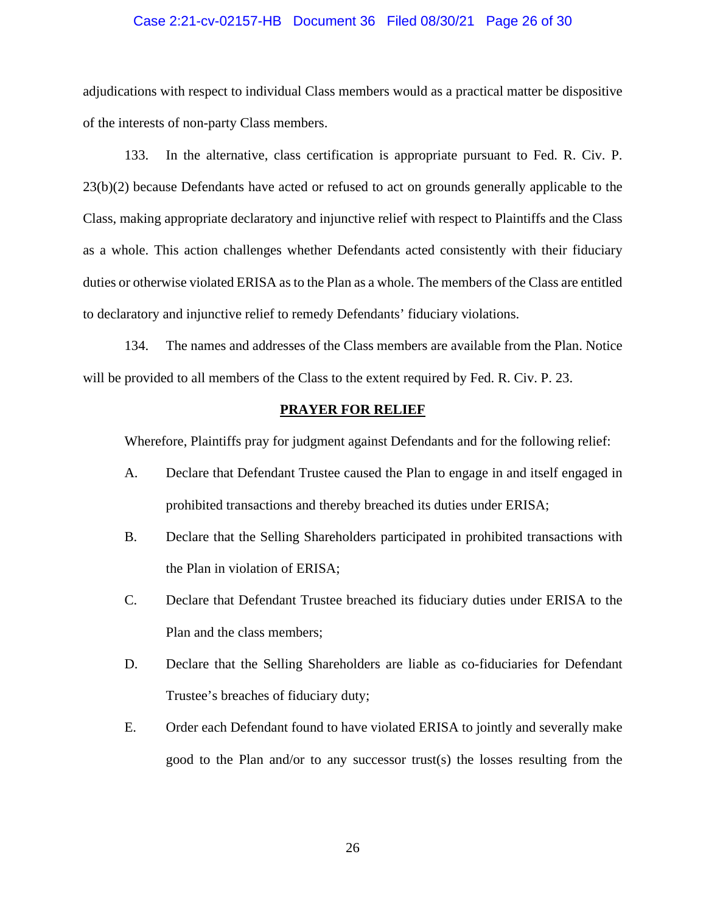### Case 2:21-cv-02157-HB Document 36 Filed 08/30/21 Page 26 of 30

adjudications with respect to individual Class members would as a practical matter be dispositive of the interests of non-party Class members.

133. In the alternative, class certification is appropriate pursuant to Fed. R. Civ. P. 23(b)(2) because Defendants have acted or refused to act on grounds generally applicable to the Class, making appropriate declaratory and injunctive relief with respect to Plaintiffs and the Class as a whole. This action challenges whether Defendants acted consistently with their fiduciary duties or otherwise violated ERISA as to the Plan as a whole. The members of the Class are entitled to declaratory and injunctive relief to remedy Defendants' fiduciary violations.

134. The names and addresses of the Class members are available from the Plan. Notice will be provided to all members of the Class to the extent required by Fed. R. Civ. P. 23.

#### **PRAYER FOR RELIEF**

Wherefore, Plaintiffs pray for judgment against Defendants and for the following relief:

- A. Declare that Defendant Trustee caused the Plan to engage in and itself engaged in prohibited transactions and thereby breached its duties under ERISA;
- B. Declare that the Selling Shareholders participated in prohibited transactions with the Plan in violation of ERISA;
- C. Declare that Defendant Trustee breached its fiduciary duties under ERISA to the Plan and the class members;
- D. Declare that the Selling Shareholders are liable as co-fiduciaries for Defendant Trustee's breaches of fiduciary duty;
- E. Order each Defendant found to have violated ERISA to jointly and severally make good to the Plan and/or to any successor trust(s) the losses resulting from the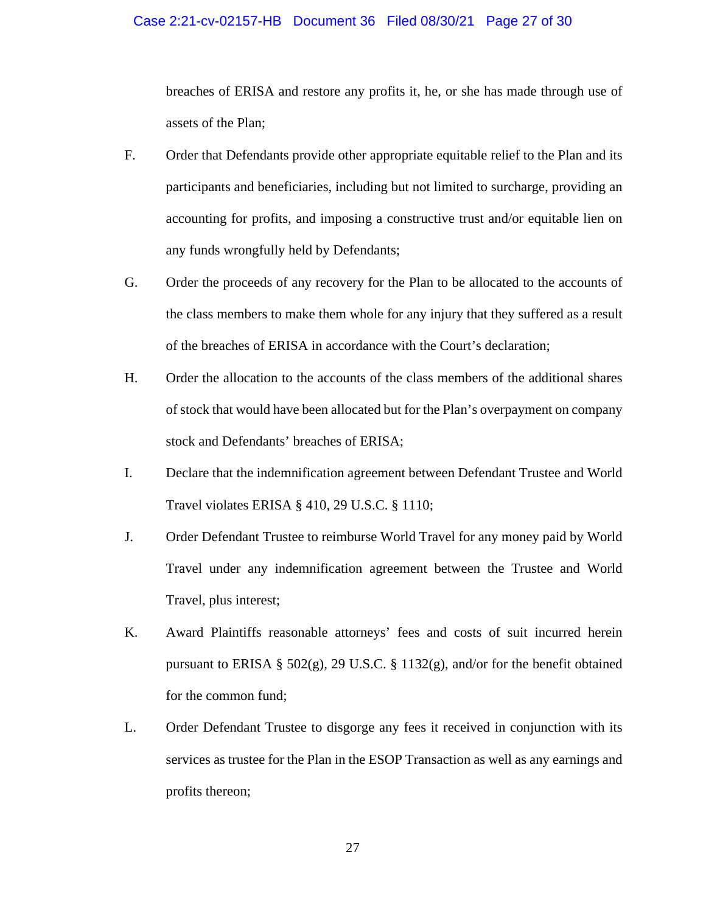### Case 2:21-cv-02157-HB Document 36 Filed 08/30/21 Page 27 of 30

breaches of ERISA and restore any profits it, he, or she has made through use of assets of the Plan;

- F. Order that Defendants provide other appropriate equitable relief to the Plan and its participants and beneficiaries, including but not limited to surcharge, providing an accounting for profits, and imposing a constructive trust and/or equitable lien on any funds wrongfully held by Defendants;
- G. Order the proceeds of any recovery for the Plan to be allocated to the accounts of the class members to make them whole for any injury that they suffered as a result of the breaches of ERISA in accordance with the Court's declaration;
- H. Order the allocation to the accounts of the class members of the additional shares of stock that would have been allocated but for the Plan's overpayment on company stock and Defendants' breaches of ERISA;
- I. Declare that the indemnification agreement between Defendant Trustee and World Travel violates ERISA § 410, 29 U.S.C. § 1110;
- J. Order Defendant Trustee to reimburse World Travel for any money paid by World Travel under any indemnification agreement between the Trustee and World Travel, plus interest;
- K. Award Plaintiffs reasonable attorneys' fees and costs of suit incurred herein pursuant to ERISA § 502(g), 29 U.S.C. § 1132(g), and/or for the benefit obtained for the common fund;
- L. Order Defendant Trustee to disgorge any fees it received in conjunction with its services as trustee for the Plan in the ESOP Transaction as well as any earnings and profits thereon;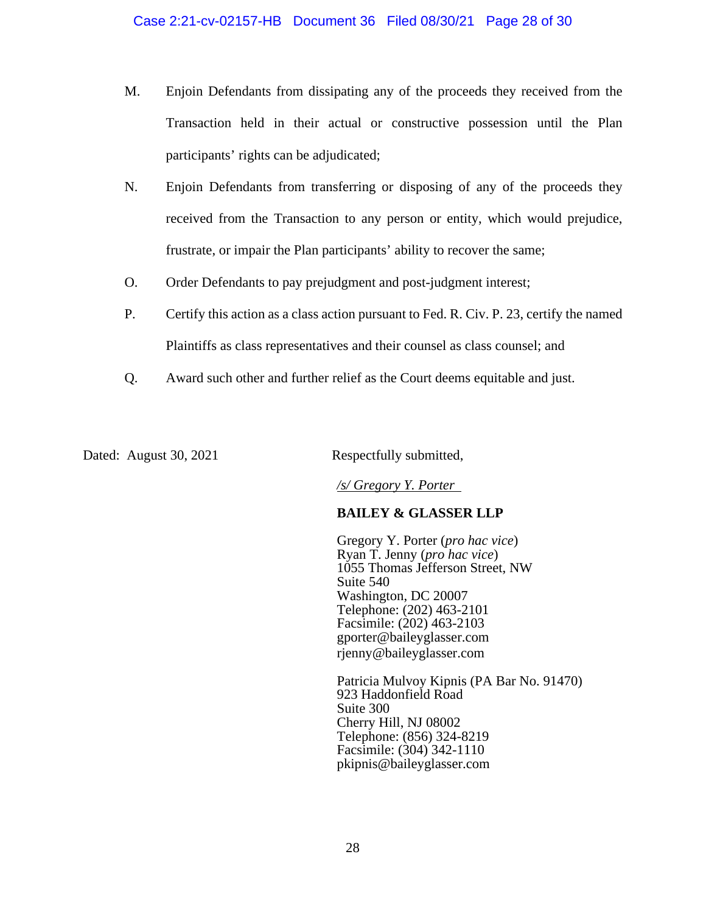- M. Enjoin Defendants from dissipating any of the proceeds they received from the Transaction held in their actual or constructive possession until the Plan participants' rights can be adjudicated;
- N. Enjoin Defendants from transferring or disposing of any of the proceeds they received from the Transaction to any person or entity, which would prejudice, frustrate, or impair the Plan participants' ability to recover the same;
- O. Order Defendants to pay prejudgment and post-judgment interest;
- P. Certify this action as a class action pursuant to Fed. R. Civ. P. 23, certify the named Plaintiffs as class representatives and their counsel as class counsel; and
- Q. Award such other and further relief as the Court deems equitable and just.

Dated: August 30, 2021 Respectfully submitted,

*/s/ Gregory Y. Porter* 

# **BAILEY & GLASSER LLP**

Gregory Y. Porter (*pro hac vice*) Ryan T. Jenny (*pro hac vice*) 1055 Thomas Jefferson Street, NW Suite 540 Washington, DC 20007 Telephone: (202) 463-2101 Facsimile: (202) 463-2103 gporter@baileyglasser.com rjenny@baileyglasser.com

Patricia Mulvoy Kipnis (PA Bar No. 91470) 923 Haddonfield Road Suite 300 Cherry Hill, NJ 08002 Telephone: (856) 324-8219 Facsimile: (304) 342-1110 pkipnis@baileyglasser.com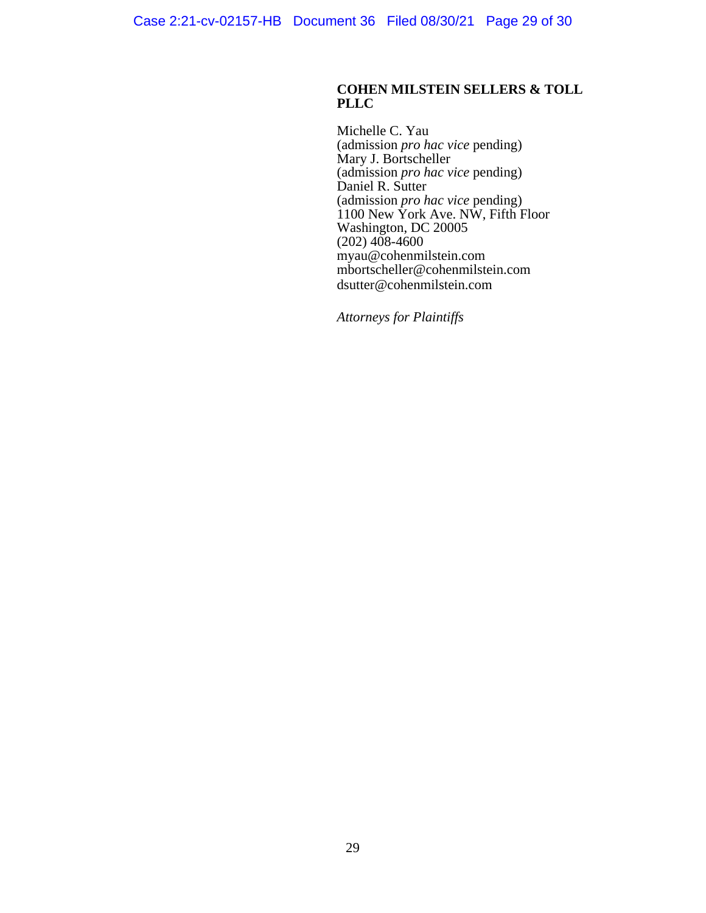## **COHEN MILSTEIN SELLERS & TOLL PLLC**

Michelle C. Yau (admission *pro hac vice* pending) Mary J. Bortscheller (admission *pro hac vice* pending) Daniel R. Sutter (admission *pro hac vice* pending) 1100 New York Ave. NW, Fifth Floor Washington, DC 20005  $(202)$  408-4600 myau@cohenmilstein.com mbortscheller@cohenmilstein.com dsutter@cohenmilstein.com

*Attorneys for Plaintiffs*